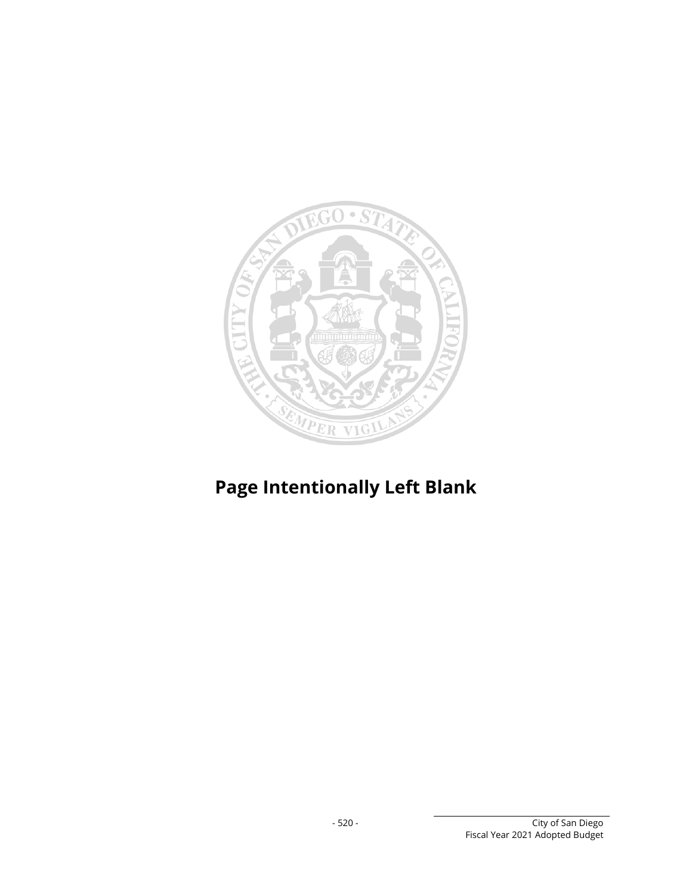

# **Page Intentionally Left Blank**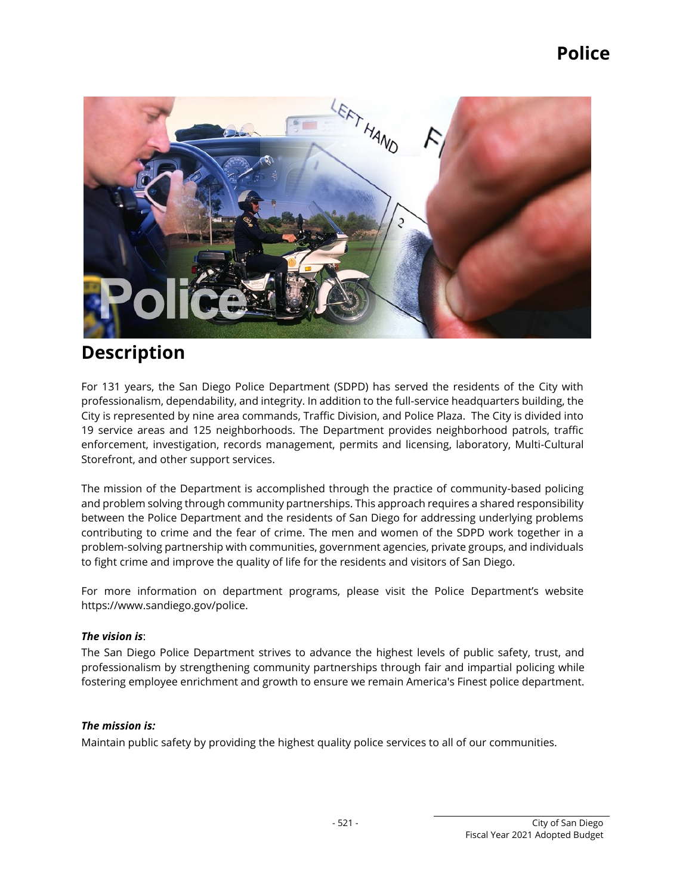

## **Description**

For 131 years, the San Diego Police Department (SDPD) has served the residents of the City with professionalism, dependability, and integrity. In addition to the full-service headquarters building, the City is represented by nine area commands, Traffic Division, and Police Plaza. The City is divided into 19 service areas and 125 neighborhoods. The Department provides neighborhood patrols, traffic enforcement, investigation, records management, permits and licensing, laboratory, Multi-Cultural Storefront, and other support services.

The mission of the Department is accomplished through the practice of community-based policing and problem solving through community partnerships. This approach requires a shared responsibility between the Police Department and the residents of San Diego for addressing underlying problems contributing to crime and the fear of crime. The men and women of the SDPD work together in a problem-solving partnership with communities, government agencies, private groups, and individuals to fight crime and improve the quality of life for the residents and visitors of San Diego.

For more information on department programs, please visit the Police Department's website https://www.sandiego.gov/police.

#### *The vision is*:

The San Diego Police Department strives to advance the highest levels of public safety, trust, and professionalism by strengthening community partnerships through fair and impartial policing while fostering employee enrichment and growth to ensure we remain America's Finest police department.

#### *The mission is:*

Maintain public safety by providing the highest quality police services to all of our communities.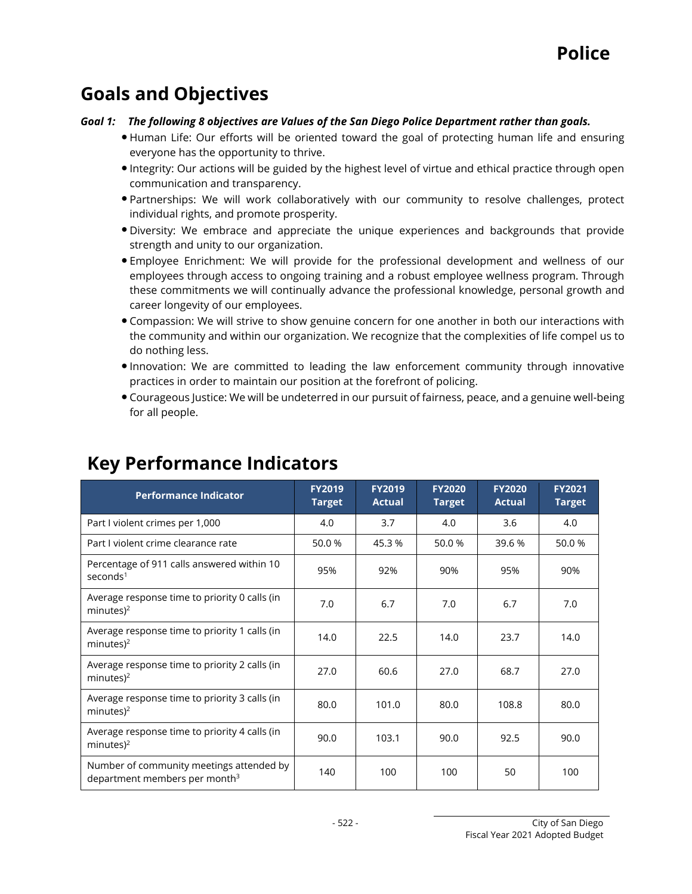## **Goals and Objectives**

#### *Goal 1: The following 8 objectives are Values of the San Diego Police Department rather than goals.*

- Human Life: Our efforts will be oriented toward the goal of protecting human life and ensuring everyone has the opportunity to thrive.
- Integrity: Our actions will be guided by the highest level of virtue and ethical practice through open communication and transparency.
- Partnerships: We will work collaboratively with our community to resolve challenges, protect individual rights, and promote prosperity.
- Diversity: We embrace and appreciate the unique experiences and backgrounds that provide strength and unity to our organization.
- Employee Enrichment: We will provide for the professional development and wellness of our employees through access to ongoing training and a robust employee wellness program. Through these commitments we will continually advance the professional knowledge, personal growth and career longevity of our employees.
- Compassion: We will strive to show genuine concern for one another in both our interactions with the community and within our organization. We recognize that the complexities of life compel us to do nothing less.
- Innovation: We are committed to leading the law enforcement community through innovative practices in order to maintain our position at the forefront of policing.
- Courageous Justice: We will be undeterred in our pursuit of fairness, peace, and a genuine well-being for all people.

| <b>Performance Indicator</b>                                                          | <b>FY2019</b><br><b>Target</b> | <b>FY2019</b><br><b>Actual</b> | <b>FY2020</b><br><b>Target</b> | <b>FY2020</b><br><b>Actual</b> | <b>FY2021</b><br><b>Target</b> |
|---------------------------------------------------------------------------------------|--------------------------------|--------------------------------|--------------------------------|--------------------------------|--------------------------------|
| Part I violent crimes per 1,000                                                       | 4.0                            | 3.7                            | 4.0                            | 3.6                            | 4.0                            |
| Part Lyjolent crime clearance rate                                                    | 50.0%                          | 45.3%                          | 50.0%                          | 39.6 %                         | 50.0%                          |
| Percentage of 911 calls answered within 10<br>seconds <sup>1</sup>                    | 95%                            | 92%                            | 90%                            | 95%                            | 90%                            |
| Average response time to priority 0 calls (in<br>$minutes)^2$                         | 7.0                            | 6.7                            | 7.0                            | 6.7                            | 7.0                            |
| Average response time to priority 1 calls (in<br>$minutes)^2$                         | 14.0                           | 22.5                           | 14.0                           | 23.7                           | 14.0                           |
| Average response time to priority 2 calls (in<br>$minutes)^2$                         | 27.0                           | 60.6                           | 27.0                           | 68.7                           | 27.0                           |
| Average response time to priority 3 calls (in<br>$minutes)^2$                         | 80.0                           | 101.0                          | 80.0                           | 108.8                          | 80.0                           |
| Average response time to priority 4 calls (in<br>$minutes)^2$                         | 90.0                           | 103.1                          | 90.0                           | 92.5                           | 90.0                           |
| Number of community meetings attended by<br>department members per month <sup>3</sup> | 140                            | 100                            | 100                            | 50                             | 100                            |

## **Key Performance Indicators**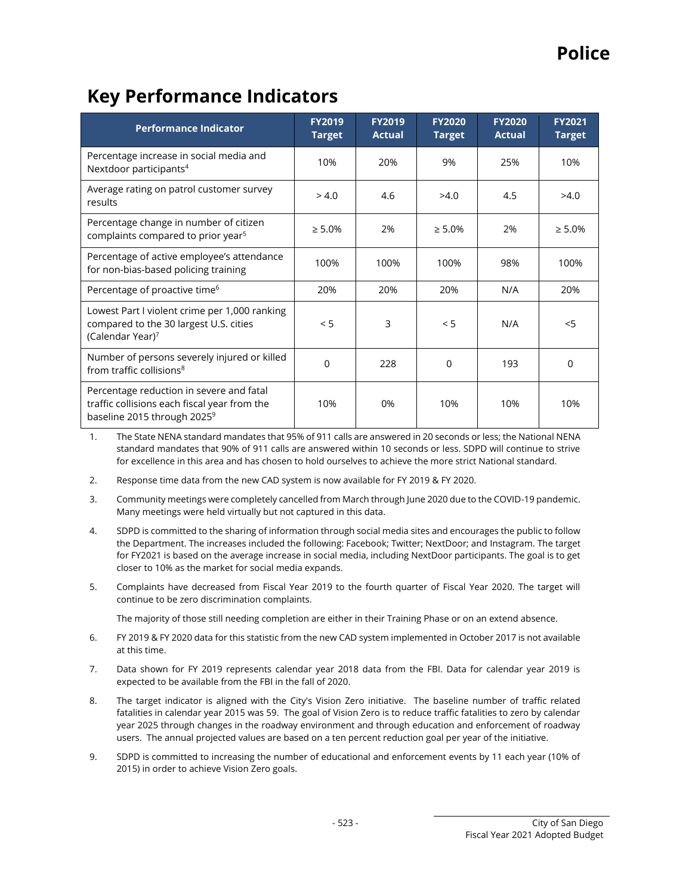## **Key Performance Indicators**

| <b>Performance Indicator</b>                                                                                                        | <b>FY2019</b><br><b>Target</b> | <b>FY2019</b><br><b>Actual</b> | <b>FY2020</b><br><b>Target</b> | <b>FY2020</b><br><b>Actual</b> | <b>FY2021</b><br><b>Target</b> |
|-------------------------------------------------------------------------------------------------------------------------------------|--------------------------------|--------------------------------|--------------------------------|--------------------------------|--------------------------------|
| Percentage increase in social media and<br>Nextdoor participants <sup>4</sup>                                                       | 10%                            | 20%                            | 9%                             | 25%                            | 10%                            |
| Average rating on patrol customer survey<br>results                                                                                 | > 4.0                          | 4.6                            | >4.0                           | 4.5                            | >4.0                           |
| Percentage change in number of citizen<br>complaints compared to prior year <sup>5</sup>                                            | $\geq 5.0\%$                   | 2%                             | $\geq 5.0\%$                   | 2%                             | $\geq 5.0\%$                   |
| Percentage of active employee's attendance<br>for non-bias-based policing training                                                  | 100%                           | 100%                           | 100%                           | 98%                            | 100%                           |
| Percentage of proactive time <sup>6</sup>                                                                                           | 20%                            | 20%                            | 20%                            | N/A                            | 20%                            |
| Lowest Part I violent crime per 1,000 ranking<br>compared to the 30 largest U.S. cities<br>(Calendar Year) <sup>7</sup>             | < 5                            | 3                              | < 5                            | N/A                            | < 5                            |
| Number of persons severely injured or killed<br>from traffic collisions <sup>8</sup>                                                | $\Omega$                       | 228                            | $\Omega$                       | 193                            | $\Omega$                       |
| Percentage reduction in severe and fatal<br>traffic collisions each fiscal year from the<br>baseline 2015 through 2025 <sup>9</sup> | 10%                            | 0%                             | 10%                            | 10%                            | 10%                            |

1. The State NENA standard mandates that 95% of 911 calls are answered in 20 seconds or less; the National NENA standard mandates that 90% of 911 calls are answered within 10 seconds or less. SDPD will continue to strive for excellence in this area and has chosen to hold ourselves to achieve the more strict National standard.

- 2. Response time data from the new CAD system is now available for FY 2019 & FY 2020.
- 3. Community meetings were completely cancelled from March through June 2020 due to the COVID-19 pandemic. Many meetings were held virtually but not captured in this data.
- 4. SDPD is committed to the sharing of information through social media sites and encourages the public to follow the Department. The increases included the following: Facebook; Twitter; NextDoor; and Instagram. The target for FY2021 is based on the average increase in social media, including NextDoor participants. The goal is to get closer to 10% as the market for social media expands.
- 5. Complaints have decreased from Fiscal Year 2019 to the fourth quarter of Fiscal Year 2020. The target will continue to be zero discrimination complaints.

The majority of those still needing completion are either in their Training Phase or on an extend absence.

- 6. FY 2019 & FY 2020 data for this statistic from the new CAD system implemented in October 2017 is not available at this time.
- 7. Data shown for FY 2019 represents calendar year 2018 data from the FBI. Data for calendar year 2019 is expected to be available from the FBI in the fall of 2020.
- 8. The target indicator is aligned with the City's Vision Zero initiative. The baseline number of traffic related fatalities in calendar year 2015 was 59. The goal of Vision Zero is to reduce traffic fatalities to zero by calendar year 2025 through changes in the roadway environment and through education and enforcement of roadway users. The annual projected values are based on a ten percent reduction goal per year of the initiative.
- 9. SDPD is committed to increasing the number of educational and enforcement events by 11 each year (10% of 2015) in order to achieve Vision Zero goals.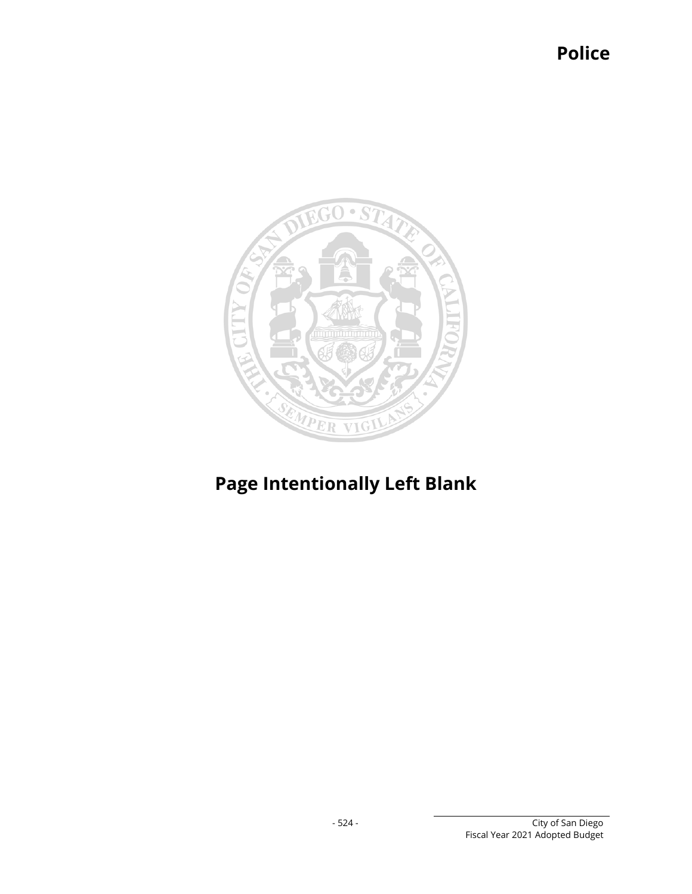

## **Page Intentionally Left Blank**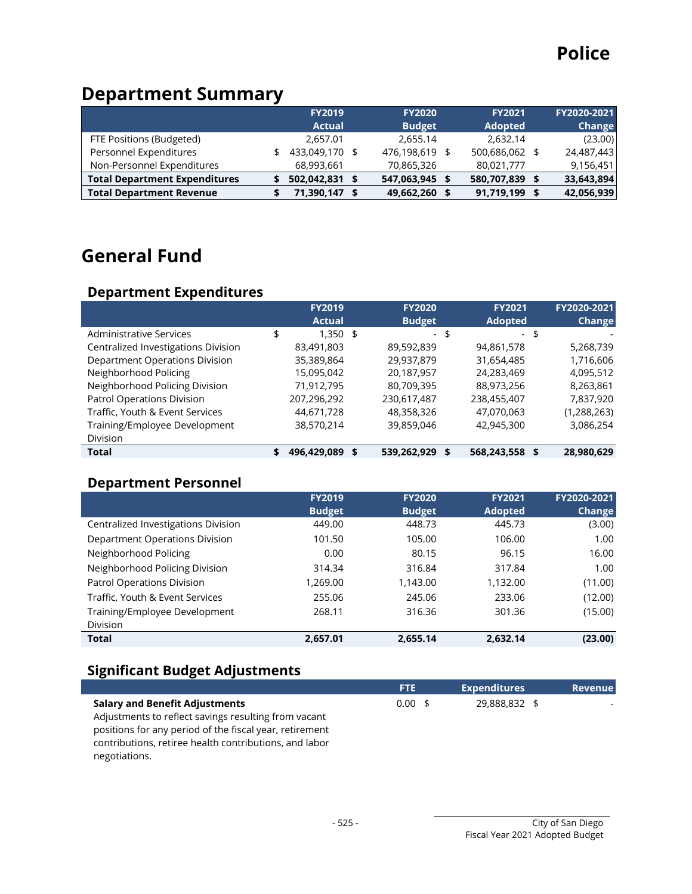## **Department Summary**

|                                      | <b>FY2019</b>  | <b>FY2020</b>  | <b>FY2021</b>  | FY2020-2021 |
|--------------------------------------|----------------|----------------|----------------|-------------|
|                                      | <b>Actual</b>  | <b>Budget</b>  | <b>Adopted</b> | Change      |
| FTE Positions (Budgeted)             | 2.657.01       | 2.655.14       | 2.632.14       | (23.00)     |
| Personnel Expenditures               | 433,049,170 \$ | 476.198.619 \$ | 500,686,062    | 24,487,443  |
| Non-Personnel Expenditures           | 68,993,661     | 70,865,326     | 80,021,777     | 9,156,451   |
| <b>Total Department Expenditures</b> | 502,042,831 \$ | 547,063,945 \$ | 580,707,839    | 33,643,894  |
| <b>Total Department Revenue</b>      | 71,390,147 \$  | 49,662,260     | 91,719,199     | 42,056,939  |

## **General Fund**

#### **Department Expenditures**

|                                     | <b>FY2019</b>    | <b>FY2020</b>  |      | <b>FY2021</b>  | FY2020-2021   |
|-------------------------------------|------------------|----------------|------|----------------|---------------|
|                                     | <b>Actual</b>    | <b>Budget</b>  |      | <b>Adopted</b> | <b>Change</b> |
| Administrative Services             | \$<br>$1,350$ \$ |                | - \$ | - \$           |               |
| Centralized Investigations Division | 83,491,803       | 89,592,839     |      | 94,861,578     | 5,268,739     |
| Department Operations Division      | 35,389,864       | 29,937,879     |      | 31,654,485     | 1,716,606     |
| Neighborhood Policing               | 15,095,042       | 20,187,957     |      | 24,283,469     | 4,095,512     |
| Neighborhood Policing Division      | 71,912,795       | 80,709,395     |      | 88,973,256     | 8,263,861     |
| Patrol Operations Division          | 207,296,292      | 230,617,487    |      | 238,455,407    | 7,837,920     |
| Traffic, Youth & Event Services     | 44,671,728       | 48,358,326     |      | 47,070,063     | (1,288,263)   |
| Training/Employee Development       | 38,570,214       | 39,859,046     |      | 42,945,300     | 3,086,254     |
| <b>Division</b>                     |                  |                |      |                |               |
| <b>Total</b>                        | 496,429,089 \$   | 539,262,929 \$ |      | 568,243,558 \$ | 28,980,629    |

#### **Department Personnel**

|                                     | <b>FY2019</b> | <b>FY2020</b> | <b>FY2021</b>  | FY2020-2021 |
|-------------------------------------|---------------|---------------|----------------|-------------|
|                                     | <b>Budget</b> | <b>Budget</b> | <b>Adopted</b> | Change      |
| Centralized Investigations Division | 449.00        | 448.73        | 445.73         | (3.00)      |
| Department Operations Division      | 101.50        | 105.00        | 106.00         | 1.00        |
| Neighborhood Policing               | 0.00          | 80.15         | 96.15          | 16.00       |
| Neighborhood Policing Division      | 314.34        | 316.84        | 317.84         | 1.00        |
| Patrol Operations Division          | 1,269.00      | 1,143.00      | 1,132.00       | (11.00)     |
| Traffic, Youth & Event Services     | 255.06        | 245.06        | 233.06         | (12.00)     |
| Training/Employee Development       | 268.11        | 316.36        | 301.36         | (15.00)     |
| <b>Division</b>                     |               |               |                |             |
| <b>Total</b>                        | 2,657.01      | 2,655.14      | 2,632.14       | (23.00)     |

#### **Significant Budget Adjustments**

|                                                        | FTE        | <b>Expenditures</b> | <b>Revenue</b> |
|--------------------------------------------------------|------------|---------------------|----------------|
| <b>Salary and Benefit Adjustments</b>                  | $0.00 \pm$ | 29,888,832 \$       |                |
| Adjustes ante to reflect covince requiring from vocant |            |                     |                |

Adjustments to reflect savings resulting from vacant positions for any period of the fiscal year, retirement contributions, retiree health contributions, and labor negotiations.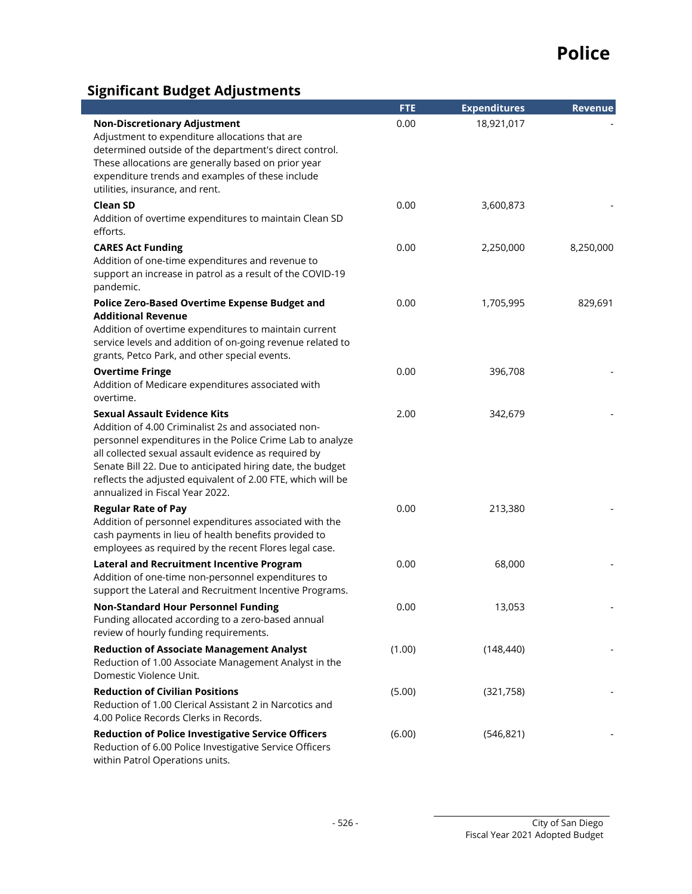# **Significant Budget Adjustments**

|                                                                                                                                                                                                                                                                                                                                                                                 | <b>FTE</b> | <b>Expenditures</b> | <b>Revenue</b> |
|---------------------------------------------------------------------------------------------------------------------------------------------------------------------------------------------------------------------------------------------------------------------------------------------------------------------------------------------------------------------------------|------------|---------------------|----------------|
| <b>Non-Discretionary Adjustment</b><br>Adjustment to expenditure allocations that are<br>determined outside of the department's direct control.<br>These allocations are generally based on prior year<br>expenditure trends and examples of these include<br>utilities, insurance, and rent.                                                                                   | 0.00       | 18,921,017          |                |
| <b>Clean SD</b><br>Addition of overtime expenditures to maintain Clean SD<br>efforts.                                                                                                                                                                                                                                                                                           | 0.00       | 3,600,873           |                |
| <b>CARES Act Funding</b><br>Addition of one-time expenditures and revenue to<br>support an increase in patrol as a result of the COVID-19<br>pandemic.                                                                                                                                                                                                                          | 0.00       | 2,250,000           | 8,250,000      |
| Police Zero-Based Overtime Expense Budget and<br><b>Additional Revenue</b><br>Addition of overtime expenditures to maintain current<br>service levels and addition of on-going revenue related to<br>grants, Petco Park, and other special events.                                                                                                                              | 0.00       | 1,705,995           | 829,691        |
| <b>Overtime Fringe</b><br>Addition of Medicare expenditures associated with<br>overtime.                                                                                                                                                                                                                                                                                        | 0.00       | 396,708             |                |
| <b>Sexual Assault Evidence Kits</b><br>Addition of 4.00 Criminalist 2s and associated non-<br>personnel expenditures in the Police Crime Lab to analyze<br>all collected sexual assault evidence as required by<br>Senate Bill 22. Due to anticipated hiring date, the budget<br>reflects the adjusted equivalent of 2.00 FTE, which will be<br>annualized in Fiscal Year 2022. | 2.00       | 342,679             |                |
| <b>Regular Rate of Pay</b><br>Addition of personnel expenditures associated with the<br>cash payments in lieu of health benefits provided to<br>employees as required by the recent Flores legal case.                                                                                                                                                                          | 0.00       | 213,380             |                |
| <b>Lateral and Recruitment Incentive Program</b><br>Addition of one-time non-personnel expenditures to<br>support the Lateral and Recruitment Incentive Programs.                                                                                                                                                                                                               | 0.00       | 68,000              |                |
| <b>Non-Standard Hour Personnel Funding</b><br>Funding allocated according to a zero-based annual<br>review of hourly funding requirements.                                                                                                                                                                                                                                      | 0.00       | 13,053              |                |
| <b>Reduction of Associate Management Analyst</b><br>Reduction of 1.00 Associate Management Analyst in the<br>Domestic Violence Unit.                                                                                                                                                                                                                                            | (1.00)     | (148, 440)          |                |
| <b>Reduction of Civilian Positions</b><br>Reduction of 1.00 Clerical Assistant 2 in Narcotics and<br>4.00 Police Records Clerks in Records.                                                                                                                                                                                                                                     | (5.00)     | (321, 758)          |                |
| <b>Reduction of Police Investigative Service Officers</b><br>Reduction of 6.00 Police Investigative Service Officers<br>within Patrol Operations units.                                                                                                                                                                                                                         | (6.00)     | (546, 821)          |                |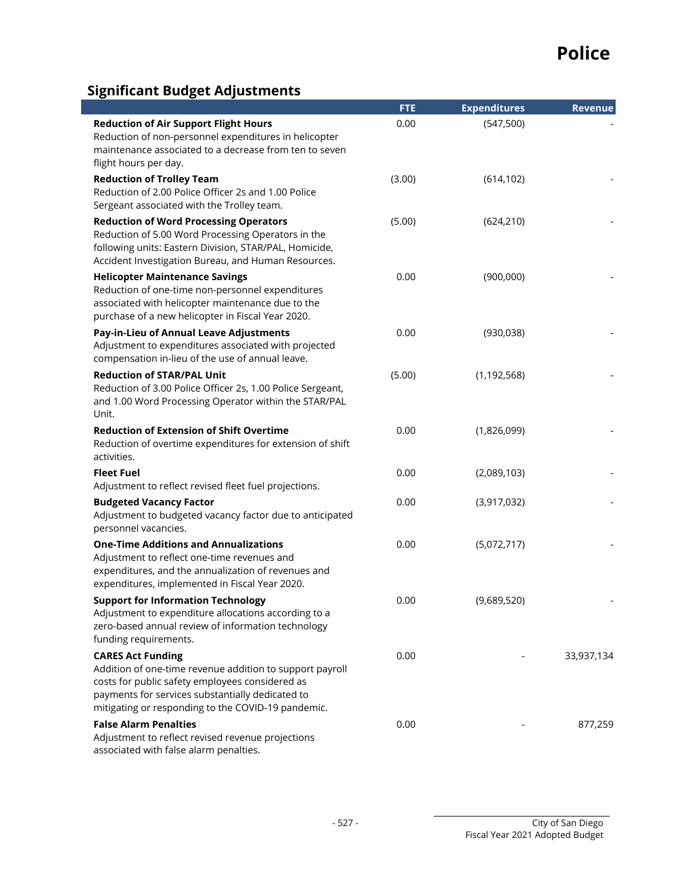# **Significant Budget Adjustments**

|                                                                                                                                                                                                                                                   | <b>FTE</b> | <b>Expenditures</b> | <b>Revenue</b> |
|---------------------------------------------------------------------------------------------------------------------------------------------------------------------------------------------------------------------------------------------------|------------|---------------------|----------------|
| <b>Reduction of Air Support Flight Hours</b><br>Reduction of non-personnel expenditures in helicopter<br>maintenance associated to a decrease from ten to seven<br>flight hours per day.                                                          | 0.00       | (547,500)           |                |
| <b>Reduction of Trolley Team</b><br>Reduction of 2.00 Police Officer 2s and 1.00 Police<br>Sergeant associated with the Trolley team.                                                                                                             | (3.00)     | (614, 102)          |                |
| <b>Reduction of Word Processing Operators</b><br>Reduction of 5.00 Word Processing Operators in the<br>following units: Eastern Division, STAR/PAL, Homicide,<br>Accident Investigation Bureau, and Human Resources.                              | (5.00)     | (624, 210)          |                |
| <b>Helicopter Maintenance Savings</b><br>Reduction of one-time non-personnel expenditures<br>associated with helicopter maintenance due to the<br>purchase of a new helicopter in Fiscal Year 2020.                                               | 0.00       | (900,000)           |                |
| Pay-in-Lieu of Annual Leave Adjustments<br>Adjustment to expenditures associated with projected<br>compensation in-lieu of the use of annual leave.                                                                                               | 0.00       | (930, 038)          |                |
| <b>Reduction of STAR/PAL Unit</b><br>Reduction of 3.00 Police Officer 2s, 1.00 Police Sergeant,<br>and 1.00 Word Processing Operator within the STAR/PAL<br>Unit.                                                                                 | (5.00)     | (1, 192, 568)       |                |
| <b>Reduction of Extension of Shift Overtime</b><br>Reduction of overtime expenditures for extension of shift<br>activities.                                                                                                                       | 0.00       | (1,826,099)         |                |
| <b>Fleet Fuel</b><br>Adjustment to reflect revised fleet fuel projections.                                                                                                                                                                        | 0.00       | (2,089,103)         |                |
| <b>Budgeted Vacancy Factor</b><br>Adjustment to budgeted vacancy factor due to anticipated<br>personnel vacancies.                                                                                                                                | 0.00       | (3,917,032)         |                |
| <b>One-Time Additions and Annualizations</b><br>Adjustment to reflect one-time revenues and<br>expenditures, and the annualization of revenues and<br>expenditures, implemented in Fiscal Year 2020.                                              | 0.00       | (5,072,717)         |                |
| <b>Support for Information Technology</b><br>Adjustment to expenditure allocations according to a<br>zero-based annual review of information technology<br>funding requirements.                                                                  | 0.00       | (9,689,520)         |                |
| <b>CARES Act Funding</b><br>Addition of one-time revenue addition to support payroll<br>costs for public safety employees considered as<br>payments for services substantially dedicated to<br>mitigating or responding to the COVID-19 pandemic. | 0.00       |                     | 33,937,134     |
| <b>False Alarm Penalties</b><br>Adjustment to reflect revised revenue projections<br>associated with false alarm penalties.                                                                                                                       | 0.00       |                     | 877,259        |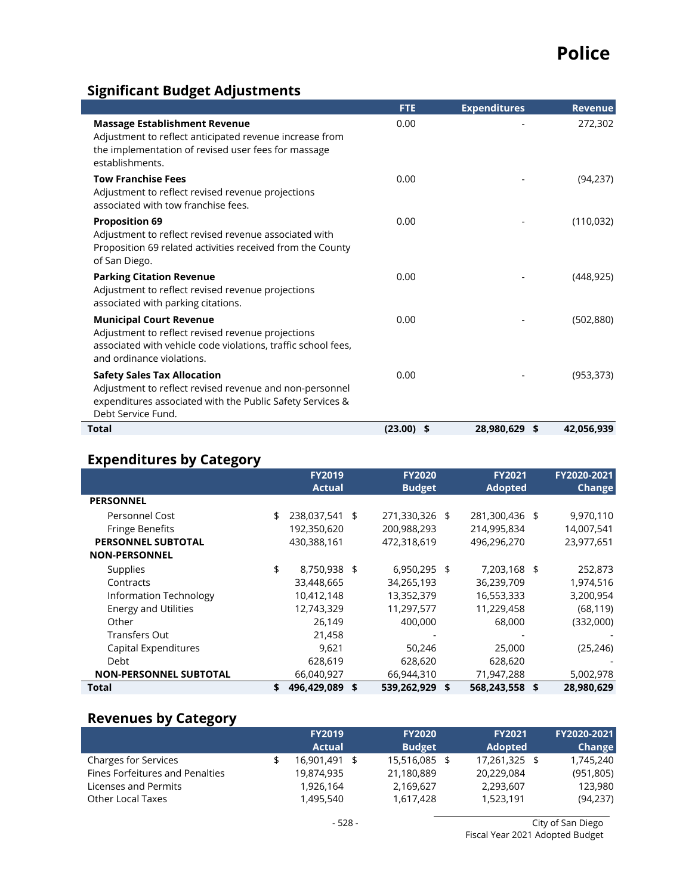## **Significant Budget Adjustments**

|                                                                                                                                                                                   | <b>FTE</b>   | <b>Expenditures</b> | <b>Revenue</b> |
|-----------------------------------------------------------------------------------------------------------------------------------------------------------------------------------|--------------|---------------------|----------------|
| <b>Massage Establishment Revenue</b><br>Adjustment to reflect anticipated revenue increase from<br>the implementation of revised user fees for massage<br>establishments.         | 0.00         |                     | 272,302        |
| <b>Tow Franchise Fees</b><br>Adjustment to reflect revised revenue projections<br>associated with tow franchise fees.                                                             | 0.00         |                     | (94, 237)      |
| <b>Proposition 69</b><br>Adjustment to reflect revised revenue associated with<br>Proposition 69 related activities received from the County<br>of San Diego.                     | 0.00         |                     | (110, 032)     |
| <b>Parking Citation Revenue</b><br>Adjustment to reflect revised revenue projections<br>associated with parking citations.                                                        | 0.00         |                     | (448, 925)     |
| <b>Municipal Court Revenue</b><br>Adjustment to reflect revised revenue projections<br>associated with vehicle code violations, traffic school fees,<br>and ordinance violations. | 0.00         |                     | (502, 880)     |
| <b>Safety Sales Tax Allocation</b><br>Adjustment to reflect revised revenue and non-personnel<br>expenditures associated with the Public Safety Services &<br>Debt Service Fund.  | 0.00         |                     | (953, 373)     |
| Total                                                                                                                                                                             | $(23.00)$ \$ | 28.980.629 \$       | 42.056.939     |

#### **Expenditures by Category**

|                               | <b>FY2019</b>        | <b>FY2020</b>  | <b>FY2021</b>  | FY2020-2021 |
|-------------------------------|----------------------|----------------|----------------|-------------|
|                               | <b>Actual</b>        | <b>Budget</b>  | <b>Adopted</b> | Change      |
| <b>PERSONNEL</b>              |                      |                |                |             |
| Personnel Cost                | 238.037.541 \$       | 271,330,326 \$ | 281,300,436 \$ | 9,970,110   |
| <b>Fringe Benefits</b>        | 192,350,620          | 200,988,293    | 214,995,834    | 14,007,541  |
| <b>PERSONNEL SUBTOTAL</b>     | 430,388,161          | 472,318,619    | 496,296,270    | 23,977,651  |
| <b>NON-PERSONNEL</b>          |                      |                |                |             |
| Supplies                      | \$<br>8,750,938 \$   | $6,950,295$ \$ | 7,203,168 \$   | 252,873     |
| Contracts                     | 33,448,665           | 34,265,193     | 36,239,709     | 1,974,516   |
| Information Technology        | 10,412,148           | 13,352,379     | 16,553,333     | 3,200,954   |
| <b>Energy and Utilities</b>   | 12,743,329           | 11,297,577     | 11,229,458     | (68, 119)   |
| Other                         | 26,149               | 400,000        | 68,000         | (332,000)   |
| Transfers Out                 | 21,458               |                |                |             |
| Capital Expenditures          | 9,621                | 50,246         | 25,000         | (25, 246)   |
| Debt                          | 628,619              | 628,620        | 628,620        |             |
| <b>NON-PERSONNEL SUBTOTAL</b> | 66,040,927           | 66,944,310     | 71,947,288     | 5,002,978   |
| Total                         | \$<br>496,429,089 \$ | 539,262,929 \$ | 568,243,558 \$ | 28,980,629  |

#### **Revenues by Category**

|                                        | <b>FY2019</b> | <b>FY2020</b> | <b>FY2021</b>  | FY2020-2021 |
|----------------------------------------|---------------|---------------|----------------|-------------|
|                                        | <b>Actual</b> | <b>Budget</b> | <b>Adopted</b> | Change      |
| Charges for Services                   | 16.901.491 \$ | 15,516,085 \$ | 17,261,325 \$  | 1,745,240   |
| <b>Fines Forfeitures and Penalties</b> | 19,874,935    | 21,180,889    | 20,229,084     | (951, 805)  |
| Licenses and Permits                   | 1.926.164     | 2,169,627     | 2,293,607      | 123,980     |
| <b>Other Local Taxes</b>               | 1,495,540     | 1,617,428     | 1,523,191      | (94, 237)   |

- 528 - City of San Diego Fiscal Year 2021 Adopted Budget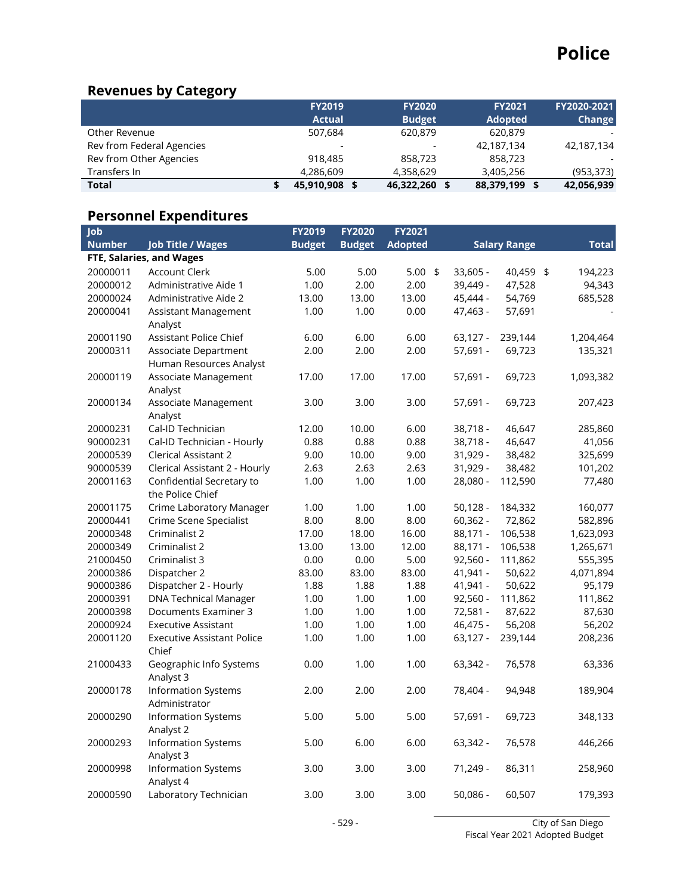#### **Revenues by Category**

|                           | <b>FY2019</b>            | <b>FY2020</b>            | <b>FY2021</b>  | FY2020-2021 |
|---------------------------|--------------------------|--------------------------|----------------|-------------|
|                           | <b>Actual</b>            | <b>Budget</b>            | <b>Adopted</b> | Change      |
| Other Revenue             | 507,684                  | 620.879                  | 620,879        |             |
| Rev from Federal Agencies | $\overline{\phantom{a}}$ | $\overline{\phantom{a}}$ | 42,187,134     | 42.187.134  |
| Rev from Other Agencies   | 918,485                  | 858,723                  | 858,723        |             |
| Transfers In              | 4,286,609                | 4,358,629                | 3,405,256      | (953, 373)  |
| <b>Total</b>              | 45,910,908               | 46,322,260 \$            | 88,379,199     | 42,056,939  |

#### **Personnel Expenditures**

| Job           |                                   | FY2019        | <b>FY2020</b> | <b>FY2021</b>  |            |                     |              |
|---------------|-----------------------------------|---------------|---------------|----------------|------------|---------------------|--------------|
| <b>Number</b> | <b>Job Title / Wages</b>          | <b>Budget</b> | <b>Budget</b> | <b>Adopted</b> |            | <b>Salary Range</b> | <b>Total</b> |
|               | FTE, Salaries, and Wages          |               |               |                |            |                     |              |
| 20000011      | <b>Account Clerk</b>              | 5.00          | 5.00          | $5.00$ \$      | $33,605 -$ | 40,459 \$           | 194,223      |
| 20000012      | Administrative Aide 1             | 1.00          | 2.00          | 2.00           | 39,449 -   | 47,528              | 94,343       |
| 20000024      | Administrative Aide 2             | 13.00         | 13.00         | 13.00          | 45,444 -   | 54,769              | 685,528      |
| 20000041      | Assistant Management              | 1.00          | 1.00          | 0.00           | 47,463 -   | 57,691              |              |
|               | Analyst                           |               |               |                |            |                     |              |
| 20001190      | <b>Assistant Police Chief</b>     | 6.00          | 6.00          | 6.00           | $63,127 -$ | 239,144             | 1,204,464    |
| 20000311      | Associate Department              | 2.00          | 2.00          | 2.00           | 57,691 -   | 69,723              | 135,321      |
|               | Human Resources Analyst           |               |               |                |            |                     |              |
| 20000119      | Associate Management              | 17.00         | 17.00         | 17.00          | 57,691 -   | 69,723              | 1,093,382    |
|               | Analyst                           |               |               |                |            |                     |              |
| 20000134      | Associate Management              | 3.00          | 3.00          | 3.00           | 57,691 -   | 69,723              | 207,423      |
|               | Analyst                           |               |               |                |            |                     |              |
| 20000231      | Cal-ID Technician                 | 12.00         | 10.00         | 6.00           | $38,718 -$ | 46,647              | 285,860      |
| 90000231      | Cal-ID Technician - Hourly        | 0.88          | 0.88          | 0.88           | $38,718 -$ | 46,647              | 41,056       |
| 20000539      | <b>Clerical Assistant 2</b>       | 9.00          | 10.00         | 9.00           | $31,929 -$ | 38,482              | 325,699      |
| 90000539      | Clerical Assistant 2 - Hourly     | 2.63          | 2.63          | 2.63           | $31,929 -$ | 38,482              | 101,202      |
| 20001163      | Confidential Secretary to         | 1.00          | 1.00          | 1.00           | 28,080 -   | 112,590             | 77,480       |
|               | the Police Chief                  |               |               |                |            |                     |              |
| 20001175      | Crime Laboratory Manager          | 1.00          | 1.00          | 1.00           | $50,128 -$ | 184,332             | 160,077      |
| 20000441      | Crime Scene Specialist            | 8.00          | 8.00          | 8.00           | $60,362 -$ | 72,862              | 582,896      |
| 20000348      | Criminalist 2                     | 17.00         | 18.00         | 16.00          | $88,171 -$ | 106,538             | 1,623,093    |
| 20000349      | Criminalist 2                     | 13.00         | 13.00         | 12.00          | 88,171 -   | 106,538             | 1,265,671    |
| 21000450      | Criminalist 3                     | 0.00          | 0.00          | 5.00           | $92,560 -$ | 111,862             | 555,395      |
| 20000386      | Dispatcher 2                      | 83.00         | 83.00         | 83.00          | 41,941 -   | 50,622              | 4,071,894    |
| 90000386      | Dispatcher 2 - Hourly             | 1.88          | 1.88          | 1.88           | 41,941 -   | 50,622              | 95,179       |
| 20000391      | <b>DNA Technical Manager</b>      | 1.00          | 1.00          | 1.00           | $92,560 -$ | 111,862             | 111,862      |
| 20000398      | Documents Examiner 3              | 1.00          | 1.00          | 1.00           | 72,581 -   | 87,622              | 87,630       |
| 20000924      | <b>Executive Assistant</b>        | 1.00          | 1.00          | 1.00           | 46,475 -   | 56,208              | 56,202       |
| 20001120      | <b>Executive Assistant Police</b> | 1.00          | 1.00          | 1.00           | $63,127 -$ | 239,144             | 208,236      |
|               | Chief                             |               |               |                |            |                     |              |
| 21000433      | Geographic Info Systems           | 0.00          | 1.00          | 1.00           | $63,342 -$ | 76,578              | 63,336       |
|               | Analyst 3                         |               |               |                |            |                     |              |
| 20000178      | <b>Information Systems</b>        | 2.00          | 2.00          | 2.00           | 78,404 -   | 94,948              | 189,904      |
|               | Administrator                     |               |               |                |            |                     |              |
| 20000290      | <b>Information Systems</b>        | 5.00          | 5.00          | 5.00           | 57,691 -   | 69,723              | 348,133      |
|               | Analyst 2                         |               |               |                |            |                     |              |
| 20000293      | <b>Information Systems</b>        | 5.00          | 6.00          | 6.00           | 63,342 -   | 76,578              | 446,266      |
|               | Analyst 3                         |               |               |                |            |                     |              |
| 20000998      | <b>Information Systems</b>        | 3.00          | 3.00          | 3.00           | 71,249 -   | 86,311              | 258,960      |
|               | Analyst 4                         |               |               |                |            |                     |              |
| 20000590      | Laboratory Technician             | 3.00          | 3.00          | 3.00           | $50,086 -$ | 60,507              | 179,393      |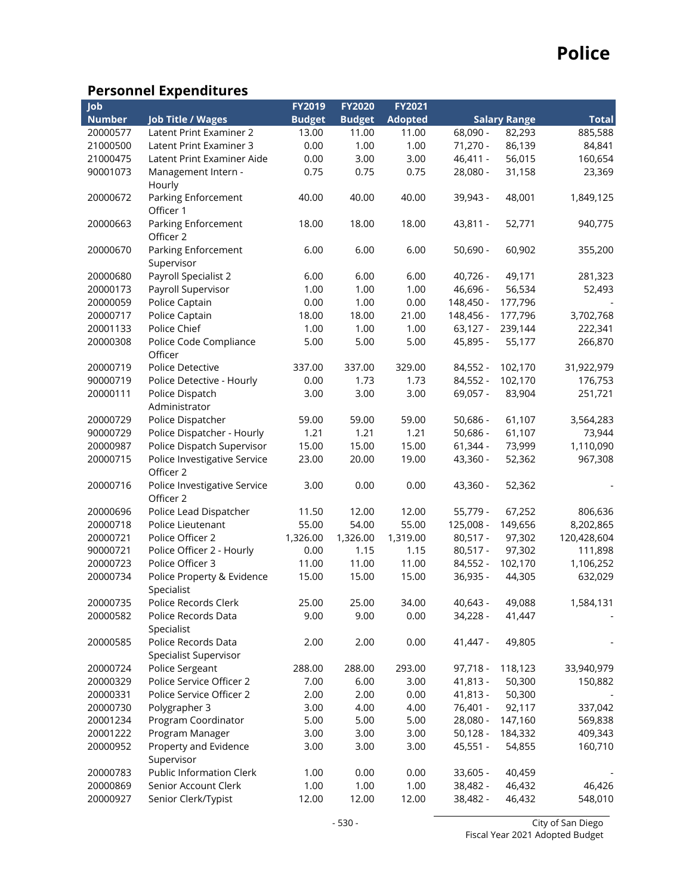#### **Personnel Expenditures**

| Job           |                                              | FY2019        | <b>FY2020</b> | <b>FY2021</b>  |            |                     |              |
|---------------|----------------------------------------------|---------------|---------------|----------------|------------|---------------------|--------------|
| <b>Number</b> | <b>Job Title / Wages</b>                     | <b>Budget</b> | <b>Budget</b> | <b>Adopted</b> |            | <b>Salary Range</b> | <b>Total</b> |
| 20000577      | Latent Print Examiner 2                      | 13.00         | 11.00         | 11.00          | 68,090 -   | 82,293              | 885,588      |
| 21000500      | Latent Print Examiner 3                      | 0.00          | 1.00          | 1.00           | $71,270 -$ | 86,139              | 84,841       |
| 21000475      | Latent Print Examiner Aide                   | 0.00          | 3.00          | 3.00           | 46,411 -   | 56,015              | 160,654      |
| 90001073      | Management Intern -<br>Hourly                | 0.75          | 0.75          | 0.75           | 28,080 -   | 31,158              | 23,369       |
| 20000672      | Parking Enforcement<br>Officer 1             | 40.00         | 40.00         | 40.00          | 39,943 -   | 48,001              | 1,849,125    |
| 20000663      | Parking Enforcement<br>Officer 2             | 18.00         | 18.00         | 18.00          | 43,811 -   | 52,771              | 940,775      |
| 20000670      | Parking Enforcement<br>Supervisor            | 6.00          | 6.00          | 6.00           | $50,690 -$ | 60,902              | 355,200      |
| 20000680      | Payroll Specialist 2                         | 6.00          | 6.00          | 6.00           | 40,726 -   | 49,171              | 281,323      |
| 20000173      | Payroll Supervisor                           | 1.00          | 1.00          | 1.00           | 46,696 -   | 56,534              | 52,493       |
| 20000059      | Police Captain                               | 0.00          | 1.00          | 0.00           | 148,450 -  | 177,796             |              |
| 20000717      | Police Captain                               | 18.00         | 18.00         | 21.00          | 148,456 -  | 177,796             | 3,702,768    |
| 20001133      | Police Chief                                 | 1.00          | 1.00          | 1.00           | $63,127 -$ | 239,144             | 222,341      |
| 20000308      | Police Code Compliance<br>Officer            | 5.00          | 5.00          | 5.00           | 45,895 -   | 55,177              | 266,870      |
| 20000719      | Police Detective                             | 337.00        | 337.00        | 329.00         | 84,552 -   | 102,170             | 31,922,979   |
| 90000719      | Police Detective - Hourly                    | 0.00          | 1.73          | 1.73           | 84,552 -   | 102,170             | 176,753      |
| 20000111      | Police Dispatch<br>Administrator             | 3.00          | 3.00          | 3.00           | 69,057 -   | 83,904              | 251,721      |
| 20000729      | Police Dispatcher                            | 59.00         | 59.00         | 59.00          | $50,686 -$ | 61,107              | 3,564,283    |
| 90000729      | Police Dispatcher - Hourly                   | 1.21          | 1.21          | 1.21           | $50,686 -$ | 61,107              | 73,944       |
| 20000987      | Police Dispatch Supervisor                   | 15.00         | 15.00         | 15.00          | $61,344 -$ | 73,999              | 1,110,090    |
| 20000715      | Police Investigative Service<br>Officer 2    | 23.00         | 20.00         | 19.00          | 43,360 -   | 52,362              | 967,308      |
| 20000716      | Police Investigative Service<br>Officer 2    | 3.00          | 0.00          | 0.00           | 43,360 -   | 52,362              |              |
| 20000696      | Police Lead Dispatcher                       | 11.50         | 12.00         | 12.00          | 55,779 -   | 67,252              | 806,636      |
| 20000718      | Police Lieutenant                            | 55.00         | 54.00         | 55.00          | 125,008 -  | 149,656             | 8,202,865    |
| 20000721      | Police Officer 2                             | 1,326.00      | 1,326.00      | 1,319.00       | $80,517 -$ | 97,302              | 120,428,604  |
| 90000721      | Police Officer 2 - Hourly                    | 0.00          | 1.15          | 1.15           | $80,517 -$ | 97,302              | 111,898      |
| 20000723      | Police Officer 3                             | 11.00         | 11.00         | 11.00          | 84,552 -   | 102,170             | 1,106,252    |
| 20000734      | Police Property & Evidence<br>Specialist     | 15.00         | 15.00         | 15.00          | 36,935 -   | 44,305              | 632,029      |
| 20000735      | Police Records Clerk                         | 25.00         | 25.00         | 34.00          | 40,643 -   | 49,088              | 1,584,131    |
| 20000582      | Police Records Data<br>Specialist            | 9.00          | 9.00          | 0.00           | 34,228 -   | 41,447              |              |
| 20000585      | Police Records Data<br>Specialist Supervisor | 2.00          | 2.00          | 0.00           | 41,447 -   | 49,805              |              |
| 20000724      | Police Sergeant                              | 288.00        | 288.00        | 293.00         | 97,718 -   | 118,123             | 33,940,979   |
| 20000329      | Police Service Officer 2                     | 7.00          | 6.00          | 3.00           | 41,813 -   | 50,300              | 150,882      |
| 20000331      | Police Service Officer 2                     | 2.00          | 2.00          | 0.00           | $41,813 -$ | 50,300              |              |
| 20000730      | Polygrapher 3                                | 3.00          | 4.00          | 4.00           | 76,401 -   | 92,117              | 337,042      |
| 20001234      | Program Coordinator                          | 5.00          | 5.00          | 5.00           | 28,080 -   | 147,160             | 569,838      |
| 20001222      | Program Manager                              | 3.00          | 3.00          | 3.00           | $50,128 -$ | 184,332             | 409,343      |
| 20000952      | Property and Evidence<br>Supervisor          | 3.00          | 3.00          | 3.00           | 45,551 -   | 54,855              | 160,710      |
| 20000783      | <b>Public Information Clerk</b>              | 1.00          | 0.00          | 0.00           | 33,605 -   | 40,459              |              |
| 20000869      | Senior Account Clerk                         | 1.00          | 1.00          | 1.00           | 38,482 -   | 46,432              | 46,426       |
| 20000927      | Senior Clerk/Typist                          | 12.00         | 12.00         | 12.00          | 38,482 -   | 46,432              | 548,010      |

- 530 - City of San Diego Fiscal Year 2021 Adopted Budget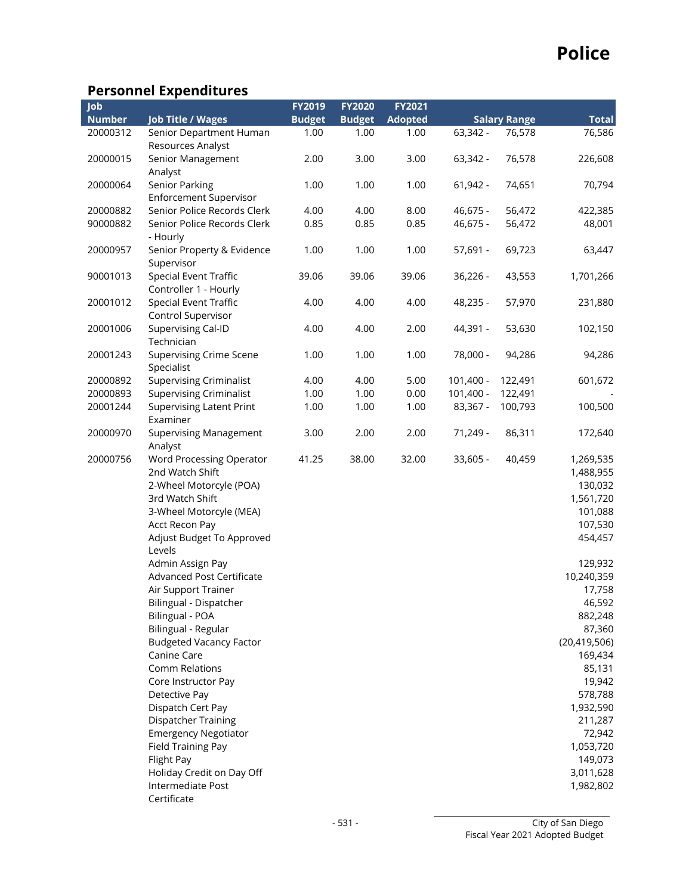#### **Personnel Expenditures**

| <b>Job</b>    |                                                                                                                                                                                                                                                                                                                                                                                                                                            | FY2019        | <b>FY2020</b> | FY2021         |             |                     |                                                                                                                                                                                                                |
|---------------|--------------------------------------------------------------------------------------------------------------------------------------------------------------------------------------------------------------------------------------------------------------------------------------------------------------------------------------------------------------------------------------------------------------------------------------------|---------------|---------------|----------------|-------------|---------------------|----------------------------------------------------------------------------------------------------------------------------------------------------------------------------------------------------------------|
| <b>Number</b> | <b>Job Title / Wages</b>                                                                                                                                                                                                                                                                                                                                                                                                                   | <b>Budget</b> | <b>Budget</b> | <b>Adopted</b> |             | <b>Salary Range</b> | <b>Total</b>                                                                                                                                                                                                   |
| 20000312      | Senior Department Human                                                                                                                                                                                                                                                                                                                                                                                                                    | 1.00          | 1.00          | 1.00           | 63,342 -    | 76,578              | 76,586                                                                                                                                                                                                         |
| 20000015      | Resources Analyst<br>Senior Management<br>Analyst                                                                                                                                                                                                                                                                                                                                                                                          | 2.00          | 3.00          | 3.00           | 63,342 -    | 76,578              | 226,608                                                                                                                                                                                                        |
| 20000064      | Senior Parking<br><b>Enforcement Supervisor</b>                                                                                                                                                                                                                                                                                                                                                                                            | 1.00          | 1.00          | 1.00           | $61,942 -$  | 74,651              | 70,794                                                                                                                                                                                                         |
| 20000882      | Senior Police Records Clerk                                                                                                                                                                                                                                                                                                                                                                                                                | 4.00          | 4.00          | 8.00           | 46,675 -    | 56,472              | 422,385                                                                                                                                                                                                        |
| 90000882      | Senior Police Records Clerk<br>- Hourly                                                                                                                                                                                                                                                                                                                                                                                                    | 0.85          | 0.85          | 0.85           | 46,675 -    | 56,472              | 48,001                                                                                                                                                                                                         |
| 20000957      | Senior Property & Evidence<br>Supervisor                                                                                                                                                                                                                                                                                                                                                                                                   | 1.00          | 1.00          | 1.00           | 57,691 -    | 69,723              | 63,447                                                                                                                                                                                                         |
| 90001013      | <b>Special Event Traffic</b><br>Controller 1 - Hourly                                                                                                                                                                                                                                                                                                                                                                                      | 39.06         | 39.06         | 39.06          | 36,226 -    | 43,553              | 1,701,266                                                                                                                                                                                                      |
| 20001012      | <b>Special Event Traffic</b><br>Control Supervisor                                                                                                                                                                                                                                                                                                                                                                                         | 4.00          | 4.00          | 4.00           | 48,235 -    | 57,970              | 231,880                                                                                                                                                                                                        |
| 20001006      | Supervising Cal-ID<br>Technician                                                                                                                                                                                                                                                                                                                                                                                                           | 4.00          | 4.00          | 2.00           | 44,391 -    | 53,630              | 102,150                                                                                                                                                                                                        |
| 20001243      | <b>Supervising Crime Scene</b><br>Specialist                                                                                                                                                                                                                                                                                                                                                                                               | 1.00          | 1.00          | 1.00           | 78,000 -    | 94,286              | 94,286                                                                                                                                                                                                         |
| 20000892      | <b>Supervising Criminalist</b>                                                                                                                                                                                                                                                                                                                                                                                                             | 4.00          | 4.00          | 5.00           | 101,400 -   | 122,491             | 601,672                                                                                                                                                                                                        |
| 20000893      | <b>Supervising Criminalist</b>                                                                                                                                                                                                                                                                                                                                                                                                             | 1.00          | 1.00          | 0.00           | $101,400 -$ | 122,491             |                                                                                                                                                                                                                |
| 20001244      | <b>Supervising Latent Print</b><br>Examiner                                                                                                                                                                                                                                                                                                                                                                                                | 1.00          | 1.00          | 1.00           | 83,367 -    | 100,793             | 100,500                                                                                                                                                                                                        |
| 20000970      | <b>Supervising Management</b><br>Analyst                                                                                                                                                                                                                                                                                                                                                                                                   | 3.00          | 2.00          | 2.00           | 71,249 -    | 86,311              | 172,640                                                                                                                                                                                                        |
| 20000756      | Word Processing Operator<br>2nd Watch Shift<br>2-Wheel Motorcyle (POA)<br>3rd Watch Shift<br>3-Wheel Motorcyle (MEA)<br>Acct Recon Pay<br>Adjust Budget To Approved<br>Levels                                                                                                                                                                                                                                                              | 41.25         | 38.00         | 32.00          | 33,605 -    | 40,459              | 1,269,535<br>1,488,955<br>130,032<br>1,561,720<br>101,088<br>107,530<br>454,457                                                                                                                                |
|               | Admin Assign Pay<br>Advanced Post Certificate<br>Air Support Trainer<br>Bilingual - Dispatcher<br>Bilingual - POA<br>Bilingual - Regular<br><b>Budgeted Vacancy Factor</b><br>Canine Care<br>Comm Relations<br>Core Instructor Pay<br>Detective Pay<br>Dispatch Cert Pay<br>Dispatcher Training<br><b>Emergency Negotiator</b><br><b>Field Training Pay</b><br>Flight Pay<br>Holiday Credit on Day Off<br>Intermediate Post<br>Certificate |               |               |                |             |                     | 129,932<br>10,240,359<br>17,758<br>46,592<br>882,248<br>87,360<br>(20, 419, 506)<br>169,434<br>85,131<br>19,942<br>578,788<br>1,932,590<br>211,287<br>72,942<br>1,053,720<br>149,073<br>3,011,628<br>1,982,802 |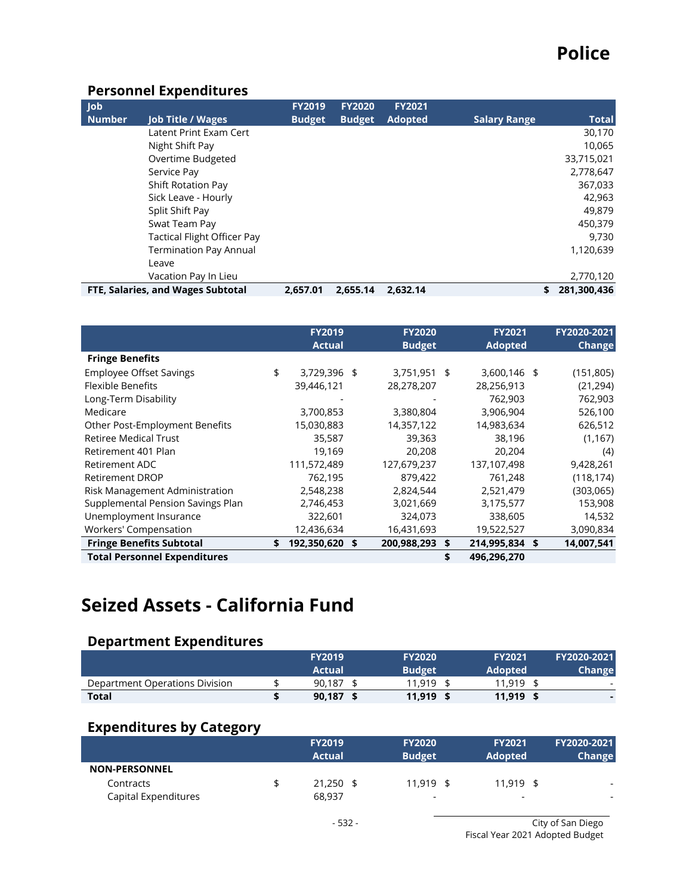#### **Personnel Expenditures**

| <b>Job</b>    |                                    | <b>FY2019</b> | <b>FY2020</b> | <b>FY2021</b>  |                     |              |
|---------------|------------------------------------|---------------|---------------|----------------|---------------------|--------------|
| <b>Number</b> | <b>Job Title / Wages</b>           | <b>Budget</b> | <b>Budget</b> | <b>Adopted</b> | <b>Salary Range</b> | <b>Total</b> |
|               | Latent Print Exam Cert             |               |               |                |                     | 30,170       |
|               | Night Shift Pay                    |               |               |                |                     | 10,065       |
|               | Overtime Budgeted                  |               |               |                | 33,715,021          |              |
|               | Service Pay                        |               |               |                | 2,778,647           |              |
|               | <b>Shift Rotation Pay</b>          |               |               |                |                     | 367,033      |
|               | Sick Leave - Hourly                |               |               |                |                     | 42,963       |
|               | Split Shift Pay                    |               |               |                |                     | 49,879       |
|               | Swat Team Pay                      |               |               |                |                     | 450,379      |
|               | <b>Tactical Flight Officer Pay</b> |               |               |                |                     | 9,730        |
|               | <b>Termination Pay Annual</b>      |               |               |                | 1,120,639           |              |
|               | Leave                              |               |               |                |                     |              |
|               | Vacation Pay In Lieu               |               |               |                | 2,770,120           |              |
|               | FTE, Salaries, and Wages Subtotal  | 2.657.01      | 2.655.14      | 2.632.14       | 281,300,436<br>\$   |              |

|                                     | <b>FY2019</b><br><b>Actual</b> | <b>FY2020</b><br><b>Budget</b> | <b>FY2021</b><br><b>Adopted</b> | FY2020-2021<br><b>Change</b> |
|-------------------------------------|--------------------------------|--------------------------------|---------------------------------|------------------------------|
| <b>Fringe Benefits</b>              |                                |                                |                                 |                              |
| <b>Employee Offset Savings</b>      | \$<br>3,729,396 \$             | $3,751,951$ \$                 | 3,600,146 \$                    | (151, 805)                   |
| <b>Flexible Benefits</b>            | 39,446,121                     | 28,278,207                     | 28,256,913                      | (21, 294)                    |
| Long-Term Disability                |                                |                                | 762,903                         | 762,903                      |
| Medicare                            | 3,700,853                      | 3,380,804                      | 3,906,904                       | 526,100                      |
| Other Post-Employment Benefits      | 15,030,883                     | 14,357,122                     | 14,983,634                      | 626,512                      |
| <b>Retiree Medical Trust</b>        | 35,587                         | 39,363                         | 38,196                          | (1, 167)                     |
| Retirement 401 Plan                 | 19,169                         | 20,208                         | 20,204                          | (4)                          |
| Retirement ADC                      | 111,572,489                    | 127,679,237                    | 137,107,498                     | 9,428,261                    |
| <b>Retirement DROP</b>              | 762,195                        | 879,422                        | 761,248                         | (118, 174)                   |
| Risk Management Administration      | 2,548,238                      | 2,824,544                      | 2,521,479                       | (303,065)                    |
| Supplemental Pension Savings Plan   | 2,746,453                      | 3,021,669                      | 3,175,577                       | 153,908                      |
| Unemployment Insurance              | 322,601                        | 324,073                        | 338,605                         | 14,532                       |
| <b>Workers' Compensation</b>        | 12,436,634                     | 16,431,693                     | 19,522,527                      | 3,090,834                    |
| <b>Fringe Benefits Subtotal</b>     | \$<br>192,350,620 \$           | 200,988,293                    | \$<br>214,995,834               | \$<br>14,007,541             |
| <b>Total Personnel Expenditures</b> |                                |                                | \$<br>496,296,270               |                              |

## **Seized Assets - California Fund**

#### **Department Expenditures**

|                                | <b>FY2019</b> | <b>FY2020</b> | <b>FY2021</b> | FY2020-2021   |
|--------------------------------|---------------|---------------|---------------|---------------|
|                                | <b>Actual</b> | <b>Budget</b> | 'Adopted      | <b>Change</b> |
| Department Operations Division | 90.187        | $11.919$ \$   | 11.919        |               |
| Total                          | 90.187        | $11,919$ \$   | 11.919        |               |

#### **Expenditures by Category**

|                                   | <b>FY2019</b><br><b>Actual</b> | <b>FY2020</b><br><b>Budget</b>          | <b>FY2021</b><br>Adopted                | FY2020-2021<br><b>Change</b> |
|-----------------------------------|--------------------------------|-----------------------------------------|-----------------------------------------|------------------------------|
| <b>NON-PERSONNEL</b>              |                                |                                         |                                         |                              |
| Contracts<br>Capital Expenditures | $21,250$ \$<br>68,937          | $11.919$ \$<br>$\overline{\phantom{0}}$ | $11.919$ \$<br>$\overline{\phantom{0}}$ |                              |

- 532 - City of San Diego Fiscal Year 2021 Adopted Budget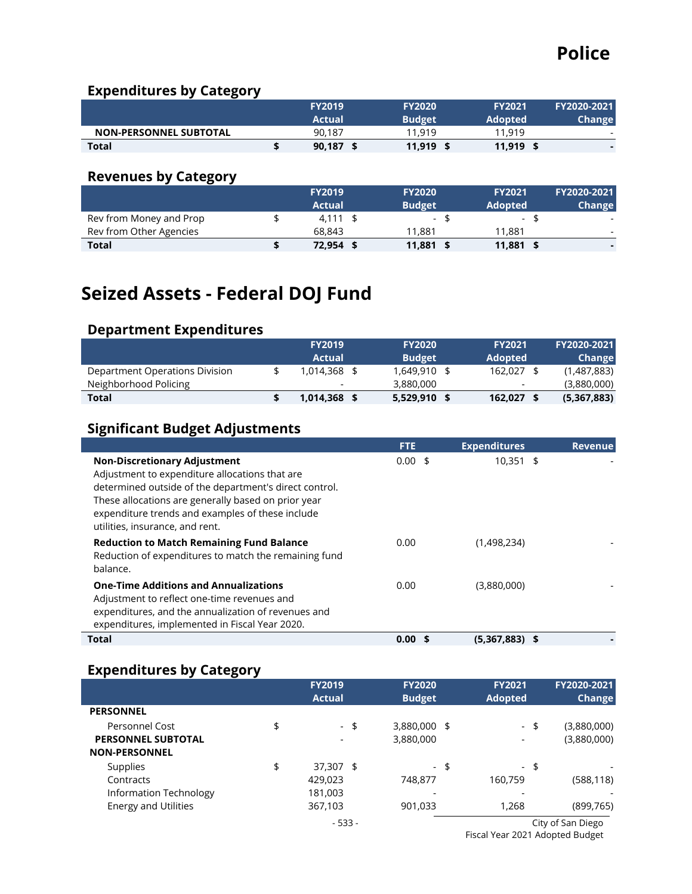#### **Expenditures by Category**

|                               | <b>FY2019</b><br><b>Actual</b> | <b>FY2020</b><br><b>Budget</b> | <b>FY2021</b><br><b>Adopted</b> | FY2020-2021<br><b>Change</b> |
|-------------------------------|--------------------------------|--------------------------------|---------------------------------|------------------------------|
| <b>NON-PERSONNEL SUBTOTAL</b> | 90.187                         | 11.919                         | 11,919                          |                              |
| <b>Total</b>                  | 90.187                         | 11.919                         | 11,919                          |                              |

#### **Revenues by Category**

|                         | <b>FY2019</b> | <b>FY2020</b> |      | <b>FY2021</b>  | FY2020-2021   |
|-------------------------|---------------|---------------|------|----------------|---------------|
|                         | <b>Actual</b> | <b>Budget</b> |      | <b>Adopted</b> | <b>Change</b> |
| Rev from Money and Prop | $4.111$ \$    |               | - \$ | $\sim$         |               |
| Rev from Other Agencies | 68,843        | 11.881        |      | 11.881         |               |
| <b>Total</b>            | 72.954        | $11,881$ \$   |      | 11,881         |               |

## **Seized Assets - Federal DOJ Fund**

#### **Department Expenditures**

|                                | <b>FY2019</b><br>Actual  | <b>FY2020</b><br><b>Budget</b> | <b>FY2021</b><br><b>Adopted</b> | FY2020-2021<br><b>Change</b> |
|--------------------------------|--------------------------|--------------------------------|---------------------------------|------------------------------|
| Department Operations Division | 1.014.368                | 1.649.910 \$                   | 162.027                         | (1,487,883)                  |
| Neighborhood Policing          | $\overline{\phantom{0}}$ | 3,880,000                      | $\overline{\phantom{a}}$        | (3,880,000)                  |
| Total                          | $1,014,368$ \$           | $5,529,910$ \$                 | 162,027                         | (5,367,883)                  |

#### **Significant Budget Adjustments**

|                                                                                                                                                                                                                                                                                               | <b>FTE</b>     | <b>Expenditures</b> | <b>Revenue</b> |
|-----------------------------------------------------------------------------------------------------------------------------------------------------------------------------------------------------------------------------------------------------------------------------------------------|----------------|---------------------|----------------|
| <b>Non-Discretionary Adjustment</b><br>Adjustment to expenditure allocations that are<br>determined outside of the department's direct control.<br>These allocations are generally based on prior year<br>expenditure trends and examples of these include<br>utilities, insurance, and rent. | $0.00 \quad $$ | $10,351$ \$         |                |
| <b>Reduction to Match Remaining Fund Balance</b><br>Reduction of expenditures to match the remaining fund<br>balance.                                                                                                                                                                         | 0.00           | (1,498,234)         |                |
| <b>One-Time Additions and Annualizations</b><br>Adjustment to reflect one-time revenues and<br>expenditures, and the annualization of revenues and<br>expenditures, implemented in Fiscal Year 2020.                                                                                          | 0.00           | (3,880,000)         |                |
| <b>Total</b>                                                                                                                                                                                                                                                                                  | 0.00           | (5, 367, 883)<br>5  |                |

#### **Expenditures by Category**

|                             | <b>FY2019</b>   |      | <b>FY2020</b> |      | <b>FY2021</b>            |      | FY2020-2021       |
|-----------------------------|-----------------|------|---------------|------|--------------------------|------|-------------------|
|                             | <b>Actual</b>   |      | <b>Budget</b> |      | <b>Adopted</b>           |      | <b>Change</b>     |
| <b>PERSONNEL</b>            |                 |      |               |      |                          |      |                   |
| Personnel Cost              | \$              | - \$ | 3,880,000 \$  |      | $\sim$                   | \$   | (3,880,000)       |
| <b>PERSONNEL SUBTOTAL</b>   | ٠               |      | 3,880,000     |      | $\overline{\phantom{0}}$ |      | (3,880,000)       |
| <b>NON-PERSONNEL</b>        |                 |      |               |      |                          |      |                   |
| Supplies                    | \$<br>37,307 \$ |      |               | - \$ |                          | - \$ |                   |
| Contracts                   | 429,023         |      | 748,877       |      | 160,759                  |      | (588, 118)        |
| Information Technology      | 181,003         |      |               |      |                          |      |                   |
| <b>Energy and Utilities</b> | 367,103         |      | 901,033       |      | 1,268                    |      | (899,765)         |
|                             | $-533-$         |      |               |      |                          |      | City of San Diego |

Fiscal Year 2021 Adopted Budget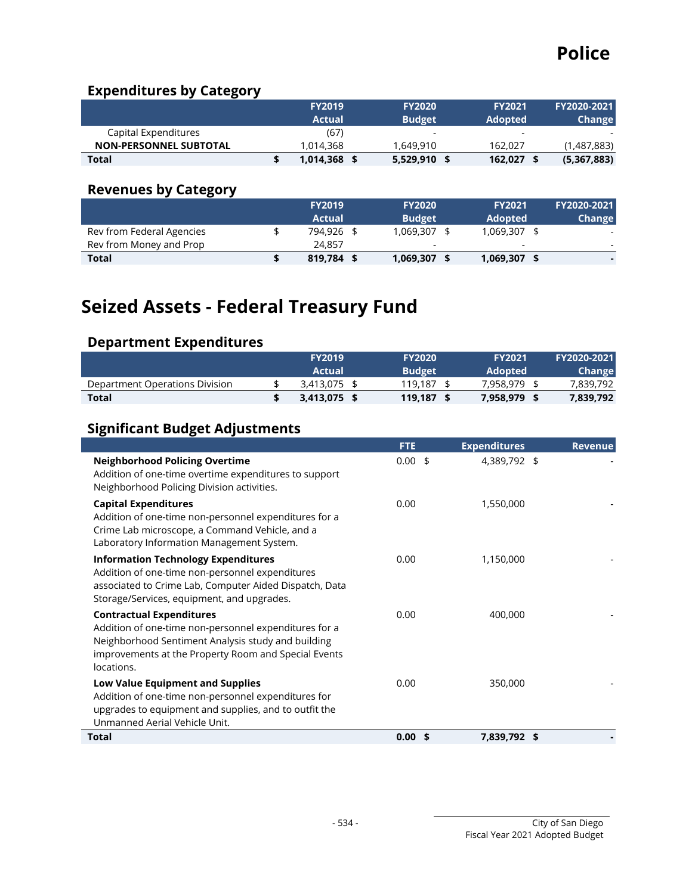#### **Expenditures by Category**

| _                             |               |               |                          |               |
|-------------------------------|---------------|---------------|--------------------------|---------------|
|                               | <b>FY2019</b> | <b>FY2020</b> | <b>FY2021</b>            | FY2020-2021   |
|                               | <b>Actual</b> | <b>Budget</b> | <b>Adopted</b>           | <b>Change</b> |
| Capital Expenditures          | (67)          | -             | $\overline{\phantom{0}}$ |               |
| <b>NON-PERSONNEL SUBTOTAL</b> | 1.014.368     | 1,649,910     | 162,027                  | (1,487,883)   |
| <b>Total</b>                  | 1,014,368     | 5,529,910     | 162.027                  | (5,367,883)   |

#### **Revenues by Category**

|                           | <b>FY2019</b><br><b>Actual</b> | <b>FY2020</b><br><b>Budget</b> | <b>FY2021</b><br><b>Adopted</b> | FY2020-2021<br><b>Change</b> |
|---------------------------|--------------------------------|--------------------------------|---------------------------------|------------------------------|
| Rev from Federal Agencies | 794.926                        | 1.069.307 \$                   | 1.069.307                       |                              |
| Rev from Money and Prop   | 24.857                         | $\overline{\phantom{a}}$       | -                               |                              |
| Total                     | 819.784 \$                     | $1,069,307$ \$                 | 1,069,307                       |                              |

## **Seized Assets - Federal Treasury Fund**

#### **Department Expenditures**

|                                | <b>FY2019</b> |              | <b>FY2020</b> |  | <b>FY2021</b>  |  | FY2020-2021   |
|--------------------------------|---------------|--------------|---------------|--|----------------|--|---------------|
|                                |               | Actual       | <b>Budget</b> |  | <b>Adopted</b> |  | <b>Change</b> |
| Department Operations Division |               | 3.413.075 \$ | 119.187       |  | 7.958.979      |  | 7,839,792     |
| <b>Total</b>                   |               | 3,413,075 \$ | $119,187$ \$  |  | 7,958,979      |  | 7,839,792     |

# **Significant Budget Adjustments**

|                                                                                                                                                                                                                      | <b>FTE</b> | <b>Expenditures</b> | <b>Revenue</b> |
|----------------------------------------------------------------------------------------------------------------------------------------------------------------------------------------------------------------------|------------|---------------------|----------------|
| <b>Neighborhood Policing Overtime</b><br>Addition of one-time overtime expenditures to support<br>Neighborhood Policing Division activities.                                                                         | $0.00$ \$  | 4,389,792 \$        |                |
| <b>Capital Expenditures</b><br>Addition of one-time non-personnel expenditures for a<br>Crime Lab microscope, a Command Vehicle, and a<br>Laboratory Information Management System.                                  | 0.00       | 1,550,000           |                |
| <b>Information Technology Expenditures</b><br>Addition of one-time non-personnel expenditures<br>associated to Crime Lab, Computer Aided Dispatch, Data<br>Storage/Services, equipment, and upgrades.                | 0.00       | 1,150,000           |                |
| <b>Contractual Expenditures</b><br>Addition of one-time non-personnel expenditures for a<br>Neighborhood Sentiment Analysis study and building<br>improvements at the Property Room and Special Events<br>locations. | 0.00       | 400,000             |                |
| Low Value Equipment and Supplies<br>Addition of one-time non-personnel expenditures for<br>upgrades to equipment and supplies, and to outfit the<br>Unmanned Aerial Vehicle Unit.                                    | 0.00       | 350,000             |                |
| Total                                                                                                                                                                                                                | $0.00$ \$  | 7,839,792 \$        |                |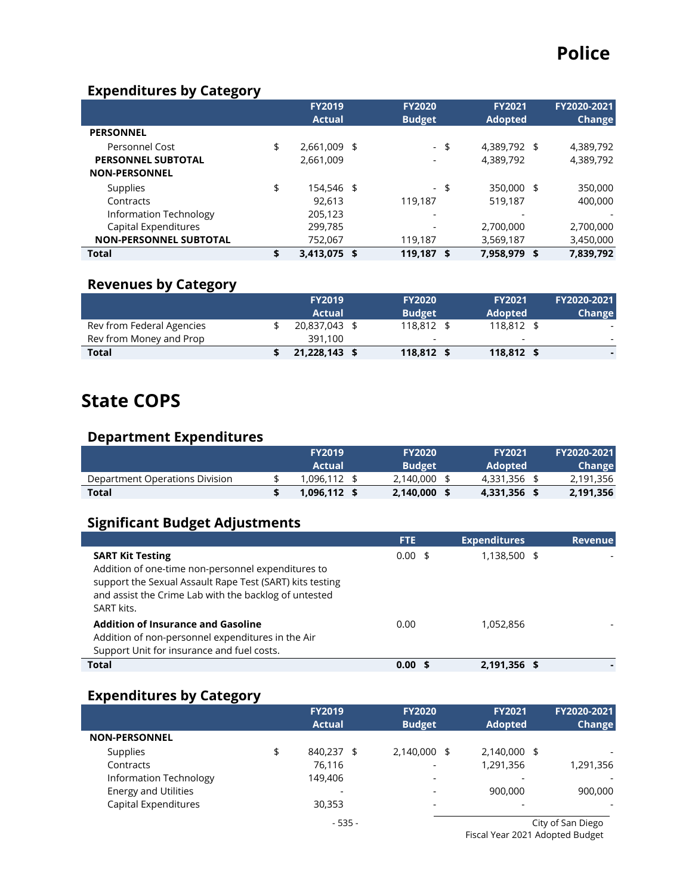#### **Expenditures by Category**

|                               | <b>FY2019</b><br><b>Actual</b> | <b>FY2020</b><br><b>Budget</b> |      | <b>FY2021</b><br><b>Adopted</b> |     | FY2020-2021<br><b>Change</b> |
|-------------------------------|--------------------------------|--------------------------------|------|---------------------------------|-----|------------------------------|
| <b>PERSONNEL</b>              |                                |                                |      |                                 |     |                              |
| Personnel Cost                | \$<br>2,661,009 \$             | $\sim$                         | \$   | 4,389,792 \$                    |     | 4,389,792                    |
| <b>PERSONNEL SUBTOTAL</b>     | 2,661,009                      |                                |      | 4,389,792                       |     | 4,389,792                    |
| <b>NON-PERSONNEL</b>          |                                |                                |      |                                 |     |                              |
| <b>Supplies</b>               | \$<br>154,546 \$               |                                | - \$ | 350,000 \$                      |     | 350,000                      |
| Contracts                     | 92,613                         | 119,187                        |      | 519,187                         |     | 400,000                      |
| Information Technology        | 205,123                        |                                |      |                                 |     |                              |
| Capital Expenditures          | 299,785                        |                                |      | 2,700,000                       |     | 2,700,000                    |
| <b>NON-PERSONNEL SUBTOTAL</b> | 752,067                        | 119,187                        |      | 3,569,187                       |     | 3,450,000                    |
| <b>Total</b>                  | \$<br>3,413,075 \$             | 119.187 \$                     |      | 7,958,979                       | -\$ | 7,839,792                    |

#### **Revenues by Category**

|                           | <b>FY2019</b> | <b>FY2020</b>            | <b>FY2021</b>            | FY2020-2021              |
|---------------------------|---------------|--------------------------|--------------------------|--------------------------|
|                           | <b>Actual</b> | <b>Budget</b>            | <b>Adopted</b>           | <b>Change</b>            |
| Rev from Federal Agencies | 20.837.043 \$ | 118.812 \$               | 118.812 \$               | $\overline{\phantom{a}}$ |
| Rev from Money and Prop   | 391.100       | $\overline{\phantom{a}}$ | $\overline{\phantom{0}}$ |                          |
| <b>Total</b>              | 21,228,143 \$ | $118,812$ \$             | 118,812 \$               |                          |

## **State COPS**

#### **Department Expenditures**

|                                | <b>FY2019</b> |                | <b>FY2020</b> |  | <b>FY2021</b>  |  | FY2020-2021   |
|--------------------------------|---------------|----------------|---------------|--|----------------|--|---------------|
|                                |               | Actual         | <b>Budget</b> |  | <b>Adopted</b> |  | <b>Change</b> |
| Department Operations Division |               | 1.096.112 \$   | 2.140.000     |  | 4.331.356 \$   |  | 2,191,356     |
| <b>Total</b>                   |               | $1,096,112$ \$ | 2,140,000     |  | 4,331,356      |  | 2,191,356     |

#### **Significant Budget Adjustments**

|                                                                                                                                                                                                                  | <b>FTE</b>         | <b>Expenditures</b> | <b>Revenue</b> |
|------------------------------------------------------------------------------------------------------------------------------------------------------------------------------------------------------------------|--------------------|---------------------|----------------|
| <b>SART Kit Testing</b><br>Addition of one-time non-personnel expenditures to<br>support the Sexual Assault Rape Test (SART) kits testing<br>and assist the Crime Lab with the backlog of untested<br>SART kits. | $0.00 \text{ }$ \$ | 1,138,500 \$        |                |
| <b>Addition of Insurance and Gasoline</b><br>Addition of non-personnel expenditures in the Air<br>Support Unit for insurance and fuel costs.                                                                     | 0.00               | 1,052,856           |                |
| Total                                                                                                                                                                                                            | 0.00 <sub>5</sub>  | 2,191,356 \$        |                |

#### **Expenditures by Category**

|                             | <b>FY2019</b><br><b>Actual</b> | <b>FY2020</b><br><b>Budget</b> | <b>FY2021</b><br><b>Adopted</b> | FY2020-2021<br><b>Change</b> |
|-----------------------------|--------------------------------|--------------------------------|---------------------------------|------------------------------|
| <b>NON-PERSONNEL</b>        |                                |                                |                                 |                              |
| <b>Supplies</b>             | 840,237 \$                     | 2,140,000 \$                   | 2,140,000 \$                    |                              |
| Contracts                   | 76,116                         | ۰                              | 1,291,356                       | 1,291,356                    |
| Information Technology      | 149,406                        | $\overline{\phantom{0}}$       |                                 |                              |
| <b>Energy and Utilities</b> | -                              |                                | 900,000                         | 900,000                      |
| Capital Expenditures        | 30,353                         | -                              |                                 |                              |
|                             | $-535-$                        |                                |                                 | City of San Diego            |

Fiscal Year 2021 Adopted Budget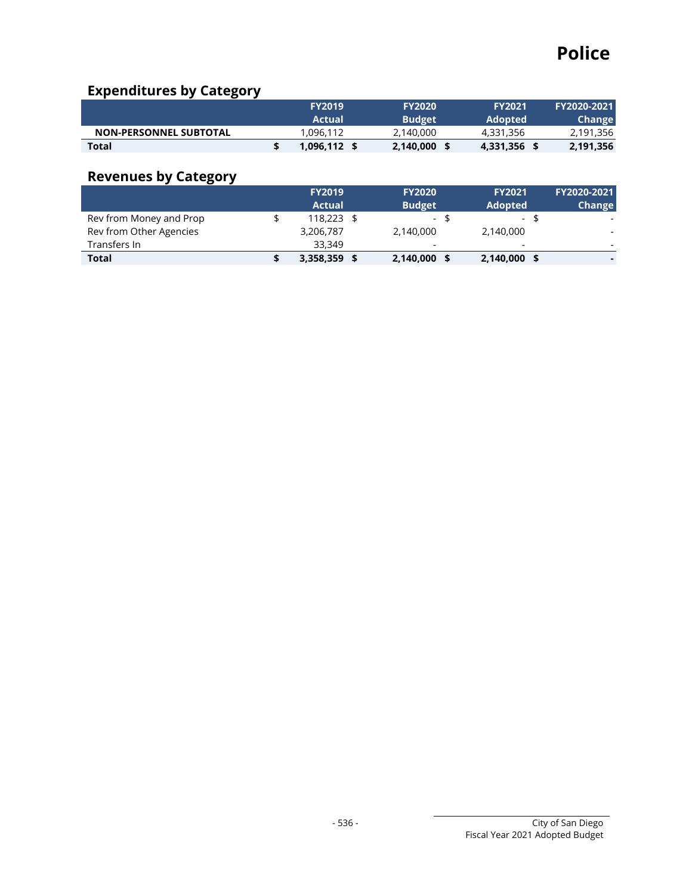## **Expenditures by Category**

|                               | <b>FY2019</b>  | <b>FY2020</b> | <b>FY2021</b> | FY2020-2021   |
|-------------------------------|----------------|---------------|---------------|---------------|
|                               | <b>Actual</b>  | <b>Budget</b> | Adopted       | <b>Change</b> |
| <b>NON-PERSONNEL SUBTOTAL</b> | 1.096.112      | 2,140,000     | 4.331.356     | 2,191,356     |
| Total                         | $1.096.112$ \$ | 2,140,000     | 4,331,356     | 2,191,356     |

## **Revenues by Category**

|                         | <b>FY2019</b><br><b>Actual</b> | <b>FY2020</b><br><b>Budget</b> |      | <b>FY2021</b><br><b>Adopted</b> | FY2020-2021<br><b>Change</b> |
|-------------------------|--------------------------------|--------------------------------|------|---------------------------------|------------------------------|
| Rev from Money and Prop | $118.223$ \$                   |                                | - \$ | $\overline{\phantom{a}}$        |                              |
| Rev from Other Agencies | 3,206,787                      | 2,140,000                      |      | 2,140,000                       |                              |
| Transfers In            | 33,349                         | $\overline{\phantom{a}}$       |      | ٠                               |                              |
| Total                   | $3,358,359$ \$                 | $2,140,000$ \$                 |      | 2,140,000                       |                              |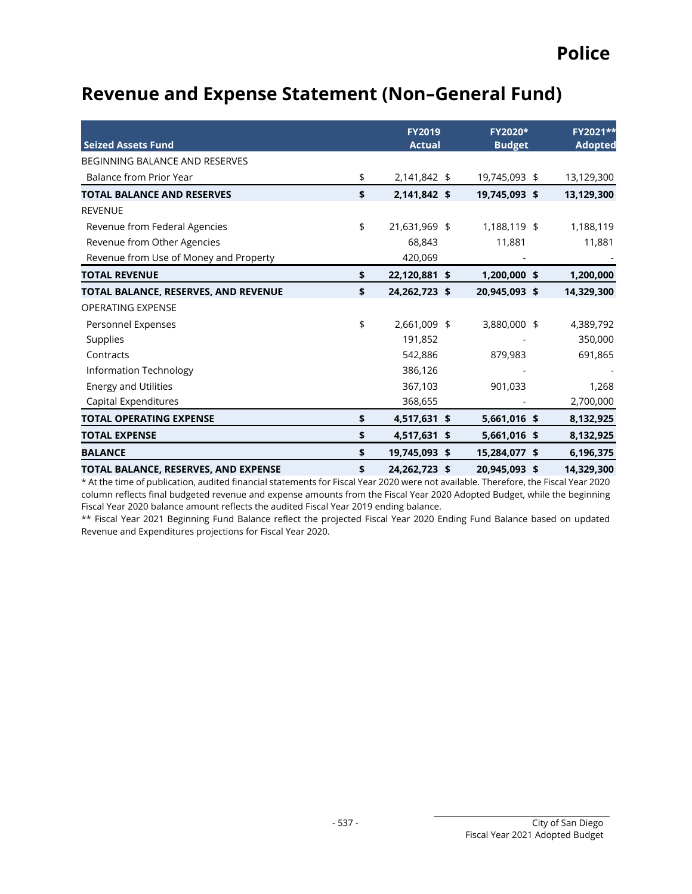## **Revenue and Expense Statement (Non–General Fund)**

| <b>Seized Assets Fund</b>              | <b>FY2019</b><br><b>Actual</b> | FY2020*<br><b>Budget</b> | FY2021**<br><b>Adopted</b> |
|----------------------------------------|--------------------------------|--------------------------|----------------------------|
| BEGINNING BALANCE AND RESERVES         |                                |                          |                            |
| <b>Balance from Prior Year</b>         | \$<br>2,141,842 \$             | 19,745,093 \$            | 13,129,300                 |
| <b>TOTAL BALANCE AND RESERVES</b>      | \$<br>2,141,842 \$             | 19,745,093 \$            | 13,129,300                 |
| <b>REVENUE</b>                         |                                |                          |                            |
| Revenue from Federal Agencies          | \$<br>21,631,969 \$            | 1,188,119 \$             | 1,188,119                  |
| Revenue from Other Agencies            | 68,843                         | 11,881                   | 11,881                     |
| Revenue from Use of Money and Property | 420,069                        |                          |                            |
| <b>TOTAL REVENUE</b>                   | \$<br>22,120,881 \$            | 1,200,000 \$             | 1,200,000                  |
| TOTAL BALANCE, RESERVES, AND REVENUE   | \$<br>24,262,723 \$            | 20,945,093 \$            | 14,329,300                 |
| <b>OPERATING EXPENSE</b>               |                                |                          |                            |
| Personnel Expenses                     | \$<br>2,661,009 \$             | 3,880,000 \$             | 4,389,792                  |
| <b>Supplies</b>                        | 191,852                        |                          | 350,000                    |
| Contracts                              | 542,886                        | 879,983                  | 691,865                    |
| Information Technology                 | 386,126                        |                          |                            |
| <b>Energy and Utilities</b>            | 367,103                        | 901,033                  | 1,268                      |
| Capital Expenditures                   | 368,655                        |                          | 2,700,000                  |
| <b>TOTAL OPERATING EXPENSE</b>         | \$<br>4,517,631 \$             | 5,661,016 \$             | 8,132,925                  |
| <b>TOTAL EXPENSE</b>                   | \$<br>4,517,631 \$             | 5,661,016 \$             | 8,132,925                  |
| <b>BALANCE</b>                         | \$<br>19,745,093 \$            | 15,284,077 \$            | 6,196,375                  |
| TOTAL BALANCE, RESERVES, AND EXPENSE   | \$<br>24,262,723 \$            | 20,945,093 \$            | 14,329,300                 |

\* At the time of publication, audited financial statements for Fiscal Year 2020 were not available. Therefore, the Fiscal Year 2020 column reflects final budgeted revenue and expense amounts from the Fiscal Year 2020 Adopted Budget, while the beginning Fiscal Year 2020 balance amount reflects the audited Fiscal Year 2019 ending balance.

\*\* Fiscal Year 2021 Beginning Fund Balance reflect the projected Fiscal Year 2020 Ending Fund Balance based on updated Revenue and Expenditures projections for Fiscal Year 2020.